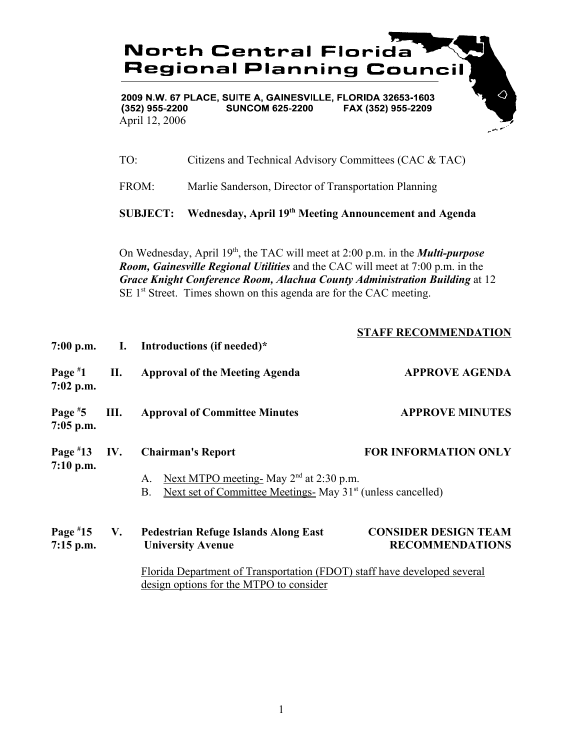

2009 N.W. 67 PLACE, SUITE A, GAINESVILLE, FLORIDA 32653-1603  $(352)$  955-2200 **SUNCOM 625-2200** FAX (352) 955-2209 April 12, 2006

TO: Citizens and Technical Advisory Committees (CAC & TAC)

FROM: Marlie Sanderson, Director of Transportation Planning

**SUBJECT: Wednesday, April 19th Meeting Announcement and Agenda**

On Wednesday, April 19<sup>th</sup>, the TAC will meet at 2:00 p.m. in the *Multi-purpose Room, Gainesville Regional Utilities* and the CAC will meet at 7:00 p.m. in the *Grace Knight Conference Room, Alachua County Administration Building* at 12  $SE 1<sup>st</sup> Street. Times shown on this agenda are for the CAC meeting.$ 

|                              |     | 7:00 p.m. I. Introductions (if needed)*                                                                                                                                                        | <b>STAFF RECOMMENDATION</b>                           |
|------------------------------|-----|------------------------------------------------------------------------------------------------------------------------------------------------------------------------------------------------|-------------------------------------------------------|
| Page $*1$<br>$7:02$ p.m.     | П.  | <b>Approval of the Meeting Agenda</b>                                                                                                                                                          | <b>APPROVE AGENDA</b>                                 |
| Page $*5$<br>$7:05$ p.m.     | Ш.  | <b>Approval of Committee Minutes</b>                                                                                                                                                           | <b>APPROVE MINUTES</b>                                |
| Page $*13$<br>$7:10$ p.m.    | IV. | <b>Chairman's Report</b><br>Next MTPO meeting- May $2nd$ at 2:30 p.m.<br>A.<br>Next set of Committee Meetings- May 31 <sup>st</sup> (unless cancelled)<br><b>B.</b>                            | <b>FOR INFORMATION ONLY</b>                           |
| Page $*15$ V.<br>$7:15$ p.m. |     | <b>Pedestrian Refuge Islands Along East</b><br><b>University Avenue</b><br>Florida Department of Transportation (FDOT) staff have developed several<br>design options for the MTPO to consider | <b>CONSIDER DESIGN TEAM</b><br><b>RECOMMENDATIONS</b> |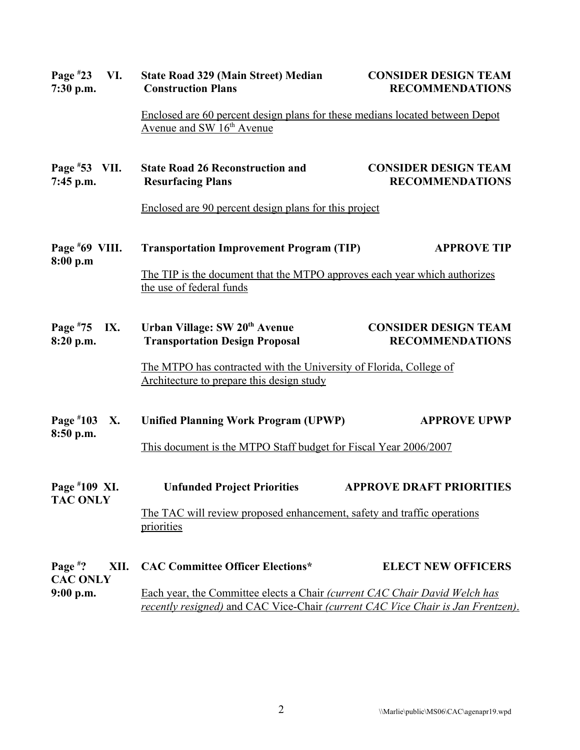| Page $*23$<br>VI.<br>$7:30$ p.m.      | <b>State Road 329 (Main Street) Median</b><br><b>Construction Plans</b>                                                                                       | <b>CONSIDER DESIGN TEAM</b><br><b>RECOMMENDATIONS</b> |  |
|---------------------------------------|---------------------------------------------------------------------------------------------------------------------------------------------------------------|-------------------------------------------------------|--|
|                                       | Enclosed are 60 percent design plans for these medians located between Depot<br>Avenue and SW 16 <sup>th</sup> Avenue                                         |                                                       |  |
| Page $*53$ VII.<br>7:45 p.m.          | <b>State Road 26 Reconstruction and</b><br><b>Resurfacing Plans</b>                                                                                           | <b>CONSIDER DESIGN TEAM</b><br><b>RECOMMENDATIONS</b> |  |
|                                       | Enclosed are 90 percent design plans for this project                                                                                                         |                                                       |  |
| Page $*69$ VIII.<br>8:00 p.m          | <b>Transportation Improvement Program (TIP)</b>                                                                                                               | <b>APPROVE TIP</b>                                    |  |
|                                       | The TIP is the document that the MTPO approves each year which authorizes<br>the use of federal funds                                                         |                                                       |  |
| Page $*75$<br>IX.<br>8:20 p.m.        | Urban Village: SW 20 <sup>th</sup> Avenue<br><b>Transportation Design Proposal</b>                                                                            | <b>CONSIDER DESIGN TEAM</b><br><b>RECOMMENDATIONS</b> |  |
|                                       | The MTPO has contracted with the University of Florida, College of<br>Architecture to prepare this design study                                               |                                                       |  |
| Page #103<br>X.<br>8:50 p.m.          | <b>Unified Planning Work Program (UPWP)</b>                                                                                                                   | <b>APPROVE UPWP</b>                                   |  |
|                                       | This document is the MTPO Staff budget for Fiscal Year 2006/2007                                                                                              |                                                       |  |
| Page #109 XI.<br><b>TAC ONLY</b>      | <b>Unfunded Project Priorities</b>                                                                                                                            | <b>APPROVE DRAFT PRIORITIES</b>                       |  |
|                                       | The TAC will review proposed enhancement, safety and traffic operations<br>priorities                                                                         |                                                       |  |
| Page $*$ ?<br>XII.<br><b>CAC ONLY</b> | <b>CAC Committee Officer Elections*</b>                                                                                                                       | <b>ELECT NEW OFFICERS</b>                             |  |
| $9:00$ p.m.                           | Each year, the Committee elects a Chair (current CAC Chair David Welch has<br>recently resigned) and CAC Vice-Chair (current CAC Vice Chair is Jan Frentzen). |                                                       |  |